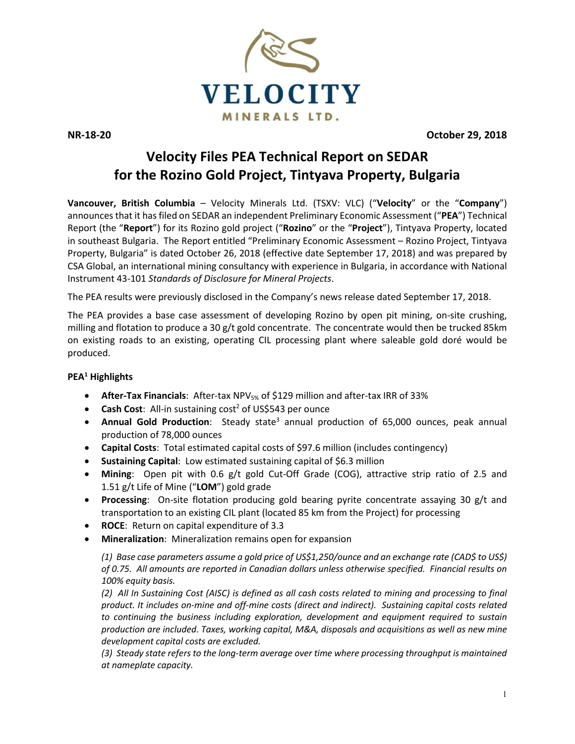

**NR-18-20 October 29, 2018**

## **Velocity Files PEA Technical Report on SEDAR for the Rozino Gold Project, Tintyava Property, Bulgaria**

**Vancouver, British Columbia** – Velocity Minerals Ltd. (TSXV: VLC) ("**Velocity**" or the "**Company**") announces that it has filed on SEDAR an independent Preliminary Economic Assessment ("**PEA**") Technical Report (the "**Report**") for its Rozino gold project ("**Rozino**" or the "**Project**"), Tintyava Property, located in southeast Bulgaria. The Report entitled "Preliminary Economic Assessment – Rozino Project, Tintyava Property, Bulgaria" is dated October 26, 2018 (effective date September 17, 2018) and was prepared by CSA Global, an international mining consultancy with experience in Bulgaria, in accordance with National Instrument 43-101 *Standards of Disclosure for Mineral Projects*.

The PEA results were previously disclosed in the Company's news release dated September 17, 2018.

The PEA provides a base case assessment of developing Rozino by open pit mining, on-site crushing, milling and flotation to produce a 30 g/t gold concentrate. The concentrate would then be trucked 85km on existing roads to an existing, operating CIL processing plant where saleable gold doré would be produced.

## **PEA1 Highlights**

- **After-Tax Financials**: After-tax NPV5% of \$129 million and after-tax IRR of 33%
- **Cash Cost**: All-in sustaining cost<sup>2</sup> of US\$543 per ounce
- **Annual Gold Production**: Steady state<sup>3</sup> annual production of 65,000 ounces, peak annual production of 78,000 ounces
- **Capital Costs**: Total estimated capital costs of \$97.6 million (includes contingency)
- **Sustaining Capital**: Low estimated sustaining capital of \$6.3 million
- **Mining**: Open pit with 0.6 g/t gold Cut-Off Grade (COG), attractive strip ratio of 2.5 and 1.51 g/t Life of Mine ("**LOM**") gold grade
- **Processing**: On-site flotation producing gold bearing pyrite concentrate assaying 30 g/t and transportation to an existing CIL plant (located 85 km from the Project) for processing
- **ROCE**: Return on capital expenditure of 3.3
- **Mineralization**: Mineralization remains open for expansion

*(1) Base case parameters assume a gold price of US\$1,250/ounce and an exchange rate (CAD\$ to US\$) of 0.75. All amounts are reported in Canadian dollars unless otherwise specified. Financial results on 100% equity basis.*

*(2) All In Sustaining Cost (AISC) is defined as all cash costs related to mining and processing to final product. It includes on-mine and off-mine costs (direct and indirect). Sustaining capital costs related to continuing the business including exploration, development and equipment required to sustain production are included. Taxes, working capital, M&A, disposals and acquisitions as well as new mine development capital costs are excluded.*

*(3) Steady state refers to the long-term average over time where processing throughput is maintained at nameplate capacity.*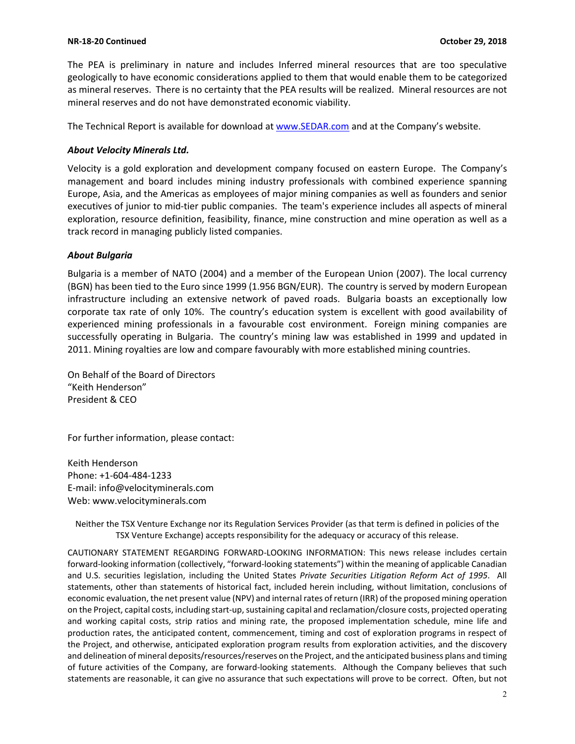The PEA is preliminary in nature and includes Inferred mineral resources that are too speculative geologically to have economic considerations applied to them that would enable them to be categorized as mineral reserves. There is no certainty that the PEA results will be realized. Mineral resources are not mineral reserves and do not have demonstrated economic viability.

The Technical Report is available for download at [www.SEDAR.com](http://www.sedar.com/) and at the Company's website.

## *About Velocity Minerals Ltd.*

Velocity is a gold exploration and development company focused on eastern Europe. The Company's management and board includes mining industry professionals with combined experience spanning Europe, Asia, and the Americas as employees of major mining companies as well as founders and senior executives of junior to mid-tier public companies. The team's experience includes all aspects of mineral exploration, resource definition, feasibility, finance, mine construction and mine operation as well as a track record in managing publicly listed companies.

## *About Bulgaria*

Bulgaria is a member of NATO (2004) and a member of the European Union (2007). The local currency (BGN) has been tied to the Euro since 1999 (1.956 BGN/EUR). The country is served by modern European infrastructure including an extensive network of paved roads. Bulgaria boasts an exceptionally low corporate tax rate of only 10%. The country's education system is excellent with good availability of experienced mining professionals in a favourable cost environment. Foreign mining companies are successfully operating in Bulgaria. The country's mining law was established in 1999 and updated in 2011. Mining royalties are low and compare favourably with more established mining countries.

On Behalf of the Board of Directors "Keith Henderson" President & CEO

For further information, please contact:

Keith Henderson Phone: +1-604-484-1233 E-mail: [info@velocityminerals.com](mailto:info@velocityminerals.com) Web: [www.velocityminerals.com](http://www.velocityminerals.com/)

Neither the TSX Venture Exchange nor its Regulation Services Provider (as that term is defined in policies of the TSX Venture Exchange) accepts responsibility for the adequacy or accuracy of this release.

CAUTIONARY STATEMENT REGARDING FORWARD-LOOKING INFORMATION: This news release includes certain forward-looking information (collectively, "forward-looking statements") within the meaning of applicable Canadian and U.S. securities legislation, including the United States *Private Securities Litigation Reform Act of 1995*. All statements, other than statements of historical fact, included herein including, without limitation, conclusions of economic evaluation, the net present value (NPV) and internal rates of return (IRR) of the proposed mining operation on the Project, capital costs, including start-up, sustaining capital and reclamation/closure costs, projected operating and working capital costs, strip ratios and mining rate, the proposed implementation schedule, mine life and production rates, the anticipated content, commencement, timing and cost of exploration programs in respect of the Project, and otherwise, anticipated exploration program results from exploration activities, and the discovery and delineation of mineral deposits/resources/reserves on the Project, and the anticipated business plans and timing of future activities of the Company, are forward-looking statements. Although the Company believes that such statements are reasonable, it can give no assurance that such expectations will prove to be correct. Often, but not